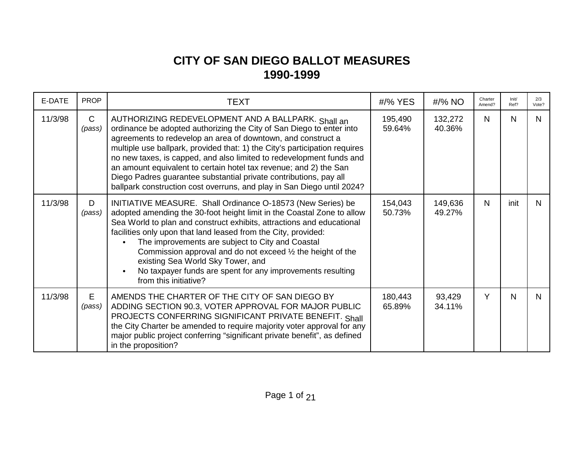## **CITY OF SAN DIEGO BALLOT MEASURES 1990-1999**

| E-DATE  | <b>PROP</b>            | TEXT                                                                                                                                                                                                                                                                                                                                                                                                                                                                                                                                                                 | #/% YES           | #/% NO            | Charter<br>Amend? | Init/<br>Ref? | 2/3<br>Vote? |
|---------|------------------------|----------------------------------------------------------------------------------------------------------------------------------------------------------------------------------------------------------------------------------------------------------------------------------------------------------------------------------------------------------------------------------------------------------------------------------------------------------------------------------------------------------------------------------------------------------------------|-------------------|-------------------|-------------------|---------------|--------------|
| 11/3/98 | $\mathsf{C}$<br>(pass) | AUTHORIZING REDEVELOPMENT AND A BALLPARK. Shall an<br>ordinance be adopted authorizing the City of San Diego to enter into<br>agreements to redevelop an area of downtown, and construct a<br>multiple use ballpark, provided that: 1) the City's participation requires<br>no new taxes, is capped, and also limited to redevelopment funds and<br>an amount equivalent to certain hotel tax revenue; and 2) the San<br>Diego Padres guarantee substantial private contributions, pay all<br>ballpark construction cost overruns, and play in San Diego until 2024? | 195,490<br>59.64% | 132,272<br>40.36% | $\mathsf{N}$      | N             | N            |
| 11/3/98 | D<br>(pass)            | INITIATIVE MEASURE. Shall Ordinance O-18573 (New Series) be<br>adopted amending the 30-foot height limit in the Coastal Zone to allow<br>Sea World to plan and construct exhibits, attractions and educational<br>facilities only upon that land leased from the City, provided:<br>The improvements are subject to City and Coastal<br>Commission approval and do not exceed $\frac{1}{2}$ the height of the<br>existing Sea World Sky Tower, and<br>No taxpayer funds are spent for any improvements resulting<br>from this initiative?                            | 154,043<br>50.73% | 149,636<br>49.27% | $\mathsf{N}$      | init          | N            |
| 11/3/98 | E<br>(pass)            | AMENDS THE CHARTER OF THE CITY OF SAN DIEGO BY<br>ADDING SECTION 90.3, VOTER APPROVAL FOR MAJOR PUBLIC<br>PROJECTS CONFERRING SIGNIFICANT PRIVATE BENEFIT. Shall<br>the City Charter be amended to require majority voter approval for any<br>major public project conferring "significant private benefit", as defined<br>in the proposition?                                                                                                                                                                                                                       | 180,443<br>65.89% | 93,429<br>34.11%  | Y                 | N             | N            |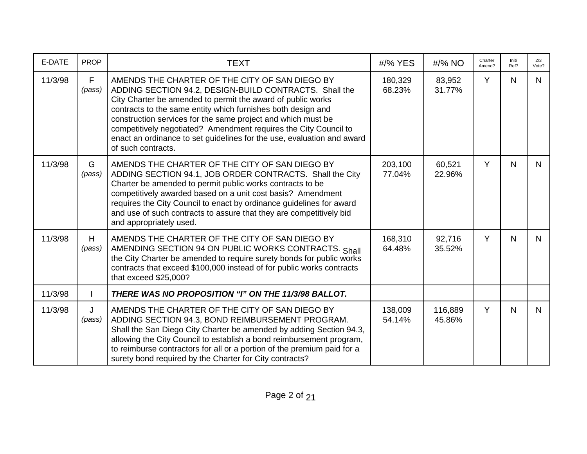| E-DATE  | <b>PROP</b>  | <b>TEXT</b>                                                                                                                                                                                                                                                                                                                                                                                                                                                                 | #/% YES           | #/% NO            | Charter<br>Amend? | Init/<br>Ref? | 2/3<br>Vote? |
|---------|--------------|-----------------------------------------------------------------------------------------------------------------------------------------------------------------------------------------------------------------------------------------------------------------------------------------------------------------------------------------------------------------------------------------------------------------------------------------------------------------------------|-------------------|-------------------|-------------------|---------------|--------------|
| 11/3/98 | F<br>(pass)  | AMENDS THE CHARTER OF THE CITY OF SAN DIEGO BY<br>ADDING SECTION 94.2, DESIGN-BUILD CONTRACTS. Shall the<br>City Charter be amended to permit the award of public works<br>contracts to the same entity which furnishes both design and<br>construction services for the same project and which must be<br>competitively negotiated? Amendment requires the City Council to<br>enact an ordinance to set guidelines for the use, evaluation and award<br>of such contracts. | 180,329<br>68.23% | 83,952<br>31.77%  | Y                 | $\mathsf{N}$  | N.           |
| 11/3/98 | G<br>(pass)  | AMENDS THE CHARTER OF THE CITY OF SAN DIEGO BY<br>ADDING SECTION 94.1, JOB ORDER CONTRACTS. Shall the City<br>Charter be amended to permit public works contracts to be<br>competitively awarded based on a unit cost basis? Amendment<br>requires the City Council to enact by ordinance guidelines for award<br>and use of such contracts to assure that they are competitively bid<br>and appropriately used.                                                            | 203,100<br>77.04% | 60,521<br>22.96%  | Y                 | $\mathsf{N}$  | N.           |
| 11/3/98 | H<br>(pass)  | AMENDS THE CHARTER OF THE CITY OF SAN DIEGO BY<br>AMENDING SECTION 94 ON PUBLIC WORKS CONTRACTS. Shall<br>the City Charter be amended to require surety bonds for public works<br>contracts that exceed \$100,000 instead of for public works contracts<br>that exceed \$25,000?                                                                                                                                                                                            | 168,310<br>64.48% | 92,716<br>35.52%  | Y                 | N             | N.           |
| 11/3/98 |              | THERE WAS NO PROPOSITION "I" ON THE 11/3/98 BALLOT.                                                                                                                                                                                                                                                                                                                                                                                                                         |                   |                   |                   |               |              |
| 11/3/98 | J.<br>(pass) | AMENDS THE CHARTER OF THE CITY OF SAN DIEGO BY<br>ADDING SECTION 94.3, BOND REIMBURSEMENT PROGRAM.<br>Shall the San Diego City Charter be amended by adding Section 94.3,<br>allowing the City Council to establish a bond reimbursement program,<br>to reimburse contractors for all or a portion of the premium paid for a<br>surety bond required by the Charter for City contracts?                                                                                     | 138,009<br>54.14% | 116,889<br>45.86% | Y                 | N             | N.           |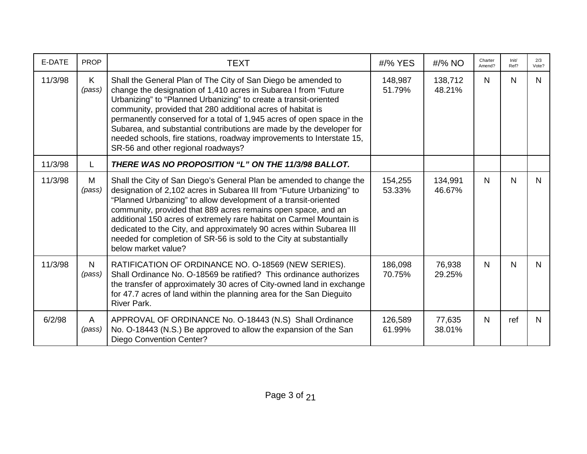| E-DATE  | <b>PROP</b>            | <b>TEXT</b>                                                                                                                                                                                                                                                                                                                                                                                                                                                                                                                          | #/% YES           | $\frac{\text{H}}{8}$ NO | Charter<br>Amend? | Init/<br>Ref? | 2/3<br>Vote? |
|---------|------------------------|--------------------------------------------------------------------------------------------------------------------------------------------------------------------------------------------------------------------------------------------------------------------------------------------------------------------------------------------------------------------------------------------------------------------------------------------------------------------------------------------------------------------------------------|-------------------|-------------------------|-------------------|---------------|--------------|
| 11/3/98 | K.<br>(pass)           | Shall the General Plan of The City of San Diego be amended to<br>change the designation of 1,410 acres in Subarea I from "Future"<br>Urbanizing" to "Planned Urbanizing" to create a transit-oriented<br>community, provided that 280 additional acres of habitat is<br>permanently conserved for a total of 1,945 acres of open space in the<br>Subarea, and substantial contributions are made by the developer for<br>needed schools, fire stations, roadway improvements to Interstate 15,<br>SR-56 and other regional roadways? | 148,987<br>51.79% | 138,712<br>48.21%       | $\mathsf{N}$      | $\mathsf{N}$  | N            |
| 11/3/98 | L                      | THERE WAS NO PROPOSITION "L" ON THE 11/3/98 BALLOT.                                                                                                                                                                                                                                                                                                                                                                                                                                                                                  |                   |                         |                   |               |              |
| 11/3/98 | M<br>(pass)            | Shall the City of San Diego's General Plan be amended to change the<br>designation of 2,102 acres in Subarea III from "Future Urbanizing" to<br>"Planned Urbanizing" to allow development of a transit-oriented<br>community, provided that 889 acres remains open space, and an<br>additional 150 acres of extremely rare habitat on Carmel Mountain is<br>dedicated to the City, and approximately 90 acres within Subarea III<br>needed for completion of SR-56 is sold to the City at substantially<br>below market value?       | 154,255<br>53.33% | 134,991<br>46.67%       | N                 | $\mathsf{N}$  | N            |
| 11/3/98 | $\mathsf{N}$<br>(pass) | RATIFICATION OF ORDINANCE NO. O-18569 (NEW SERIES).<br>Shall Ordinance No. O-18569 be ratified? This ordinance authorizes<br>the transfer of approximately 30 acres of City-owned land in exchange<br>for 47.7 acres of land within the planning area for the San Dieguito<br><b>River Park.</b>                                                                                                                                                                                                                                     | 186,098<br>70.75% | 76,938<br>29.25%        | N                 | $\mathsf{N}$  | N            |
| 6/2/98  | A<br>(pass)            | APPROVAL OF ORDINANCE No. O-18443 (N.S) Shall Ordinance<br>No. O-18443 (N.S.) Be approved to allow the expansion of the San<br><b>Diego Convention Center?</b>                                                                                                                                                                                                                                                                                                                                                                       | 126,589<br>61.99% | 77,635<br>38.01%        | N                 | ref           | N            |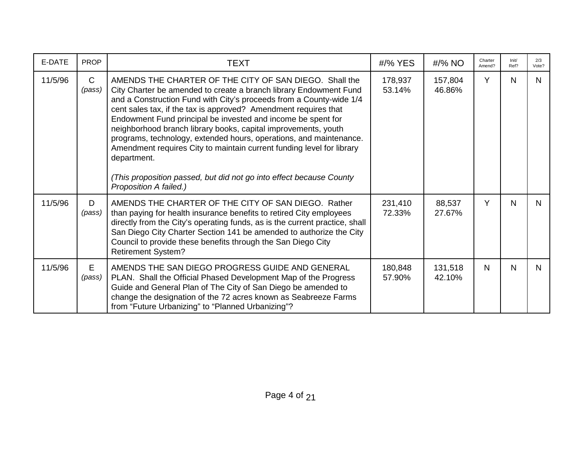| E-DATE  | <b>PROP</b>            | <b>TEXT</b>                                                                                                                                                                                                                                                                                                                                                                                                                                                                                                                                                                                                                                                            | #/% YES           | #/% NO            | Charter<br>Amend? | Init/<br>Ref? | 2/3<br>Vote? |
|---------|------------------------|------------------------------------------------------------------------------------------------------------------------------------------------------------------------------------------------------------------------------------------------------------------------------------------------------------------------------------------------------------------------------------------------------------------------------------------------------------------------------------------------------------------------------------------------------------------------------------------------------------------------------------------------------------------------|-------------------|-------------------|-------------------|---------------|--------------|
| 11/5/96 | $\mathsf{C}$<br>(pass) | AMENDS THE CHARTER OF THE CITY OF SAN DIEGO. Shall the<br>City Charter be amended to create a branch library Endowment Fund<br>and a Construction Fund with City's proceeds from a County-wide 1/4<br>cent sales tax, if the tax is approved? Amendment requires that<br>Endowment Fund principal be invested and income be spent for<br>neighborhood branch library books, capital improvements, youth<br>programs, technology, extended hours, operations, and maintenance.<br>Amendment requires City to maintain current funding level for library<br>department.<br>(This proposition passed, but did not go into effect because County<br>Proposition A failed.) | 178,937<br>53.14% | 157,804<br>46.86% | Y                 | N             | N.           |
| 11/5/96 | D<br>(pass)            | AMENDS THE CHARTER OF THE CITY OF SAN DIEGO. Rather<br>than paying for health insurance benefits to retired City employees<br>directly from the City's operating funds, as is the current practice, shall<br>San Diego City Charter Section 141 be amended to authorize the City<br>Council to provide these benefits through the San Diego City<br><b>Retirement System?</b>                                                                                                                                                                                                                                                                                          | 231,410<br>72.33% | 88,537<br>27.67%  | Y                 | N             | N.           |
| 11/5/96 | Е<br>(pass)            | AMENDS THE SAN DIEGO PROGRESS GUIDE AND GENERAL<br>PLAN. Shall the Official Phased Development Map of the Progress<br>Guide and General Plan of The City of San Diego be amended to<br>change the designation of the 72 acres known as Seabreeze Farms<br>from "Future Urbanizing" to "Planned Urbanizing"?                                                                                                                                                                                                                                                                                                                                                            | 180,848<br>57.90% | 131,518<br>42.10% | N                 | N             | N.           |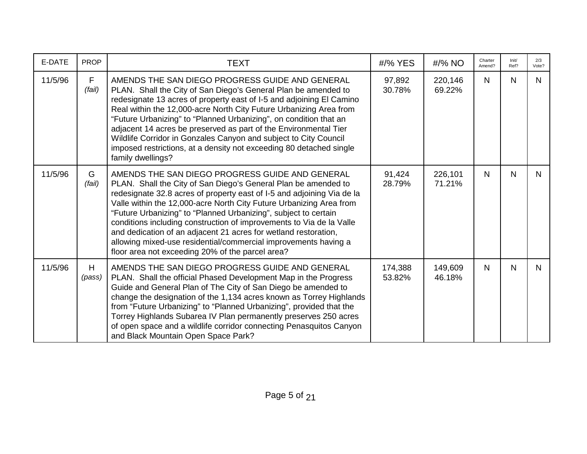| E-DATE  | <b>PROP</b>           | <b>TEXT</b>                                                                                                                                                                                                                                                                                                                                                                                                                                                                                                                                                                                             | #/% YES           | #/% NO            | Charter<br>Amend? | Init/<br>Ref? | 2/3<br>Vote? |
|---------|-----------------------|---------------------------------------------------------------------------------------------------------------------------------------------------------------------------------------------------------------------------------------------------------------------------------------------------------------------------------------------------------------------------------------------------------------------------------------------------------------------------------------------------------------------------------------------------------------------------------------------------------|-------------------|-------------------|-------------------|---------------|--------------|
| 11/5/96 | $\mathsf F$<br>(fail) | AMENDS THE SAN DIEGO PROGRESS GUIDE AND GENERAL<br>PLAN. Shall the City of San Diego's General Plan be amended to<br>redesignate 13 acres of property east of I-5 and adjoining El Camino<br>Real within the 12,000-acre North City Future Urbanizing Area from<br>"Future Urbanizing" to "Planned Urbanizing", on condition that an<br>adjacent 14 acres be preserved as part of the Environmental Tier<br>Wildlife Corridor in Gonzales Canyon and subject to City Council<br>imposed restrictions, at a density not exceeding 80 detached single<br>family dwellings?                                | 97,892<br>30.78%  | 220,146<br>69.22% | $\mathsf{N}$      | $\mathsf{N}$  | N            |
| 11/5/96 | G<br>(fail)           | AMENDS THE SAN DIEGO PROGRESS GUIDE AND GENERAL<br>PLAN. Shall the City of San Diego's General Plan be amended to<br>redesignate 32.8 acres of property east of I-5 and adjoining Via de la<br>Valle within the 12,000-acre North City Future Urbanizing Area from<br>"Future Urbanizing" to "Planned Urbanizing", subject to certain<br>conditions including construction of improvements to Via de la Valle<br>and dedication of an adjacent 21 acres for wetland restoration,<br>allowing mixed-use residential/commercial improvements having a<br>floor area not exceeding 20% of the parcel area? | 91,424<br>28.79%  | 226,101<br>71.21% | N.                | N             | N.           |
| 11/5/96 | H<br>(pass)           | AMENDS THE SAN DIEGO PROGRESS GUIDE AND GENERAL<br>PLAN. Shall the official Phased Development Map in the Progress<br>Guide and General Plan of The City of San Diego be amended to<br>change the designation of the 1,134 acres known as Torrey Highlands<br>from "Future Urbanizing" to "Planned Urbanizing", provided that the<br>Torrey Highlands Subarea IV Plan permanently preserves 250 acres<br>of open space and a wildlife corridor connecting Penasquitos Canyon<br>and Black Mountain Open Space Park?                                                                                     | 174,388<br>53.82% | 149,609<br>46.18% | N                 | N             | N.           |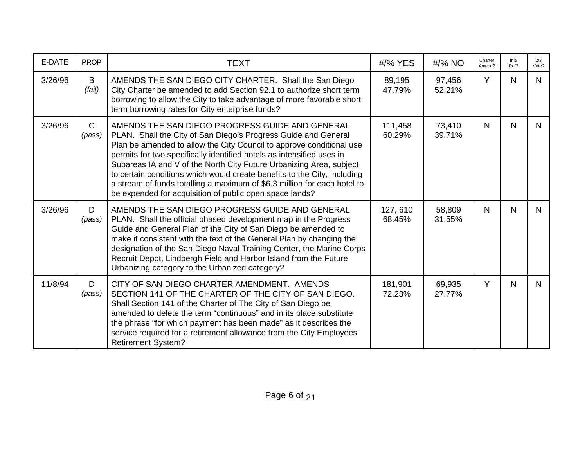| E-DATE  | <b>PROP</b>            | <b>TEXT</b>                                                                                                                                                                                                                                                                                                                                                                                                                                                                                                                                                  | #/% YES            | #/% NO           | Charter<br>Amend? | Init/<br>Ref? | 2/3<br>Vote? |
|---------|------------------------|--------------------------------------------------------------------------------------------------------------------------------------------------------------------------------------------------------------------------------------------------------------------------------------------------------------------------------------------------------------------------------------------------------------------------------------------------------------------------------------------------------------------------------------------------------------|--------------------|------------------|-------------------|---------------|--------------|
| 3/26/96 | B<br>(fail)            | AMENDS THE SAN DIEGO CITY CHARTER. Shall the San Diego<br>City Charter be amended to add Section 92.1 to authorize short term<br>borrowing to allow the City to take advantage of more favorable short<br>term borrowing rates for City enterprise funds?                                                                                                                                                                                                                                                                                                    | 89,195<br>47.79%   | 97,456<br>52.21% | Y                 | $\mathsf{N}$  | N.           |
| 3/26/96 | $\mathsf{C}$<br>(pass) | AMENDS THE SAN DIEGO PROGRESS GUIDE AND GENERAL<br>PLAN. Shall the City of San Diego's Progress Guide and General<br>Plan be amended to allow the City Council to approve conditional use<br>permits for two specifically identified hotels as intensified uses in<br>Subareas IA and V of the North City Future Urbanizing Area, subject<br>to certain conditions which would create benefits to the City, including<br>a stream of funds totalling a maximum of \$6.3 million for each hotel to<br>be expended for acquisition of public open space lands? | 111,458<br>60.29%  | 73,410<br>39.71% | N                 | N             | N.           |
| 3/26/96 | D<br>(pass)            | AMENDS THE SAN DIEGO PROGRESS GUIDE AND GENERAL<br>PLAN. Shall the official phased development map in the Progress<br>Guide and General Plan of the City of San Diego be amended to<br>make it consistent with the text of the General Plan by changing the<br>designation of the San Diego Naval Training Center, the Marine Corps<br>Recruit Depot, Lindbergh Field and Harbor Island from the Future<br>Urbanizing category to the Urbanized category?                                                                                                    | 127, 610<br>68.45% | 58,809<br>31.55% | N                 | $\mathsf{N}$  | N.           |
| 11/8/94 | D<br>(pass)            | CITY OF SAN DIEGO CHARTER AMENDMENT. AMENDS<br>SECTION 141 OF THE CHARTER OF THE CITY OF SAN DIEGO.<br>Shall Section 141 of the Charter of The City of San Diego be<br>amended to delete the term "continuous" and in its place substitute<br>the phrase "for which payment has been made" as it describes the<br>service required for a retirement allowance from the City Employees'<br><b>Retirement System?</b>                                                                                                                                          | 181,901<br>72.23%  | 69,935<br>27.77% | Y                 | $\mathsf{N}$  | N.           |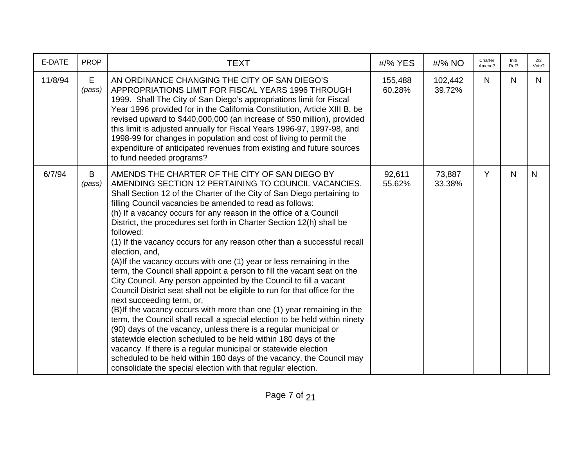| E-DATE  | <b>PROP</b> | <b>TEXT</b>                                                                                                                                                                                                                                                                                                                                                                                                                                                                                                                                                                                                                                                                                                                                                                                                                                                                                                                                                                                                                                                                                                                                                                                                                                                                                                                                    | #/% YES           | #/% NO            | Charter<br>Amend? | Init/<br>Ref? | 2/3<br>Vote? |
|---------|-------------|------------------------------------------------------------------------------------------------------------------------------------------------------------------------------------------------------------------------------------------------------------------------------------------------------------------------------------------------------------------------------------------------------------------------------------------------------------------------------------------------------------------------------------------------------------------------------------------------------------------------------------------------------------------------------------------------------------------------------------------------------------------------------------------------------------------------------------------------------------------------------------------------------------------------------------------------------------------------------------------------------------------------------------------------------------------------------------------------------------------------------------------------------------------------------------------------------------------------------------------------------------------------------------------------------------------------------------------------|-------------------|-------------------|-------------------|---------------|--------------|
| 11/8/94 | E<br>(pass) | AN ORDINANCE CHANGING THE CITY OF SAN DIEGO'S<br>APPROPRIATIONS LIMIT FOR FISCAL YEARS 1996 THROUGH<br>1999. Shall The City of San Diego's appropriations limit for Fiscal<br>Year 1996 provided for in the California Constitution, Article XIII B, be<br>revised upward to \$440,000,000 (an increase of \$50 million), provided<br>this limit is adjusted annually for Fiscal Years 1996-97, 1997-98, and<br>1998-99 for changes in population and cost of living to permit the<br>expenditure of anticipated revenues from existing and future sources<br>to fund needed programs?                                                                                                                                                                                                                                                                                                                                                                                                                                                                                                                                                                                                                                                                                                                                                         | 155,488<br>60.28% | 102,442<br>39.72% | N                 | $\mathsf{N}$  | N.           |
| 6/7/94  | B<br>(pass) | AMENDS THE CHARTER OF THE CITY OF SAN DIEGO BY<br>AMENDING SECTION 12 PERTAINING TO COUNCIL VACANCIES.<br>Shall Section 12 of the Charter of the City of San Diego pertaining to<br>filling Council vacancies be amended to read as follows:<br>(h) If a vacancy occurs for any reason in the office of a Council<br>District, the procedures set forth in Charter Section 12(h) shall be<br>followed:<br>(1) If the vacancy occurs for any reason other than a successful recall<br>election, and,<br>(A) If the vacancy occurs with one (1) year or less remaining in the<br>term, the Council shall appoint a person to fill the vacant seat on the<br>City Council. Any person appointed by the Council to fill a vacant<br>Council District seat shall not be eligible to run for that office for the<br>next succeeding term, or,<br>(B)If the vacancy occurs with more than one (1) year remaining in the<br>term, the Council shall recall a special election to be held within ninety<br>(90) days of the vacancy, unless there is a regular municipal or<br>statewide election scheduled to be held within 180 days of the<br>vacancy. If there is a regular municipal or statewide election<br>scheduled to be held within 180 days of the vacancy, the Council may<br>consolidate the special election with that regular election. | 92,611<br>55.62%  | 73,887<br>33.38%  | Y                 | $\mathsf{N}$  | $\mathsf{N}$ |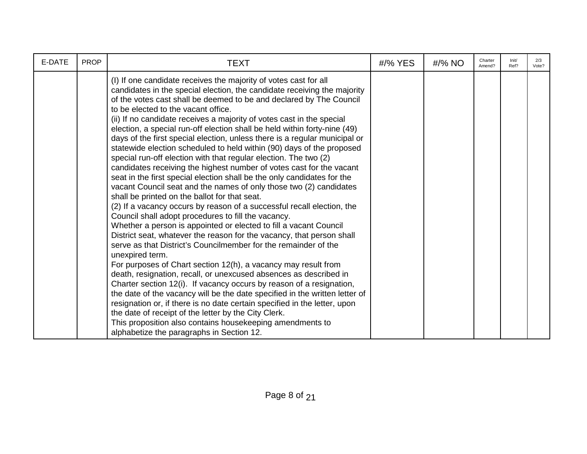| E-DATE | <b>PROP</b> | <b>TEXT</b>                                                                                                                                                                                                                                                                                                                                                                                                                                                                                                                                                                                                                                                                                                                                                                                                                                                                                                                                                                                                                                                                                                                                                                                                                                                                                                                                                                                                                                                                                                                                                                                                                                                                                                                                                                                                                             | #/% YES | #/% NO | Charter<br>Amend? | Init/<br>Ref? | 2/3<br>Vote? |
|--------|-------------|-----------------------------------------------------------------------------------------------------------------------------------------------------------------------------------------------------------------------------------------------------------------------------------------------------------------------------------------------------------------------------------------------------------------------------------------------------------------------------------------------------------------------------------------------------------------------------------------------------------------------------------------------------------------------------------------------------------------------------------------------------------------------------------------------------------------------------------------------------------------------------------------------------------------------------------------------------------------------------------------------------------------------------------------------------------------------------------------------------------------------------------------------------------------------------------------------------------------------------------------------------------------------------------------------------------------------------------------------------------------------------------------------------------------------------------------------------------------------------------------------------------------------------------------------------------------------------------------------------------------------------------------------------------------------------------------------------------------------------------------------------------------------------------------------------------------------------------------|---------|--------|-------------------|---------------|--------------|
|        |             | (I) If one candidate receives the majority of votes cast for all<br>candidates in the special election, the candidate receiving the majority<br>of the votes cast shall be deemed to be and declared by The Council<br>to be elected to the vacant office.<br>(ii) If no candidate receives a majority of votes cast in the special<br>election, a special run-off election shall be held within forty-nine (49)<br>days of the first special election, unless there is a regular municipal or<br>statewide election scheduled to held within (90) days of the proposed<br>special run-off election with that regular election. The two (2)<br>candidates receiving the highest number of votes cast for the vacant<br>seat in the first special election shall be the only candidates for the<br>vacant Council seat and the names of only those two (2) candidates<br>shall be printed on the ballot for that seat.<br>(2) If a vacancy occurs by reason of a successful recall election, the<br>Council shall adopt procedures to fill the vacancy.<br>Whether a person is appointed or elected to fill a vacant Council<br>District seat, whatever the reason for the vacancy, that person shall<br>serve as that District's Councilmember for the remainder of the<br>unexpired term.<br>For purposes of Chart section 12(h), a vacancy may result from<br>death, resignation, recall, or unexcused absences as described in<br>Charter section 12(i). If vacancy occurs by reason of a resignation,<br>the date of the vacancy will be the date specified in the written letter of<br>resignation or, if there is no date certain specified in the letter, upon<br>the date of receipt of the letter by the City Clerk.<br>This proposition also contains housekeeping amendments to<br>alphabetize the paragraphs in Section 12. |         |        |                   |               |              |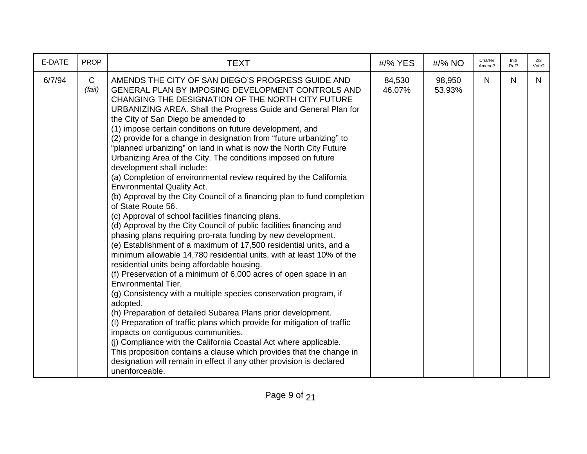| E-DATE | <b>PROP</b>            | <b>TEXT</b>                                                                                                                                                                                                                                                                                                                                                                                                                                                                                                                                                                                                                                                                                                                                                                                                                                                                                                                                                                                                                                                                                                                                                                                                                                                                                                                                                                                                                                                                                                                                                                                                                                                                                                                                                                               | #/% YES          | #/% NO           | Charter<br>Amend? | Init/<br>Ref? | 2/3<br>Vote? |
|--------|------------------------|-------------------------------------------------------------------------------------------------------------------------------------------------------------------------------------------------------------------------------------------------------------------------------------------------------------------------------------------------------------------------------------------------------------------------------------------------------------------------------------------------------------------------------------------------------------------------------------------------------------------------------------------------------------------------------------------------------------------------------------------------------------------------------------------------------------------------------------------------------------------------------------------------------------------------------------------------------------------------------------------------------------------------------------------------------------------------------------------------------------------------------------------------------------------------------------------------------------------------------------------------------------------------------------------------------------------------------------------------------------------------------------------------------------------------------------------------------------------------------------------------------------------------------------------------------------------------------------------------------------------------------------------------------------------------------------------------------------------------------------------------------------------------------------------|------------------|------------------|-------------------|---------------|--------------|
| 6/7/94 | $\mathsf{C}$<br>(fail) | AMENDS THE CITY OF SAN DIEGO'S PROGRESS GUIDE AND<br>GENERAL PLAN BY IMPOSING DEVELOPMENT CONTROLS AND<br>CHANGING THE DESIGNATION OF THE NORTH CITY FUTURE<br>URBANIZING AREA. Shall the Progress Guide and General Plan for<br>the City of San Diego be amended to<br>(1) impose certain conditions on future development, and<br>(2) provide for a change in designation from "future urbanizing" to<br>"planned urbanizing" on land in what is now the North City Future<br>Urbanizing Area of the City. The conditions imposed on future<br>development shall include:<br>(a) Completion of environmental review required by the California<br><b>Environmental Quality Act.</b><br>(b) Approval by the City Council of a financing plan to fund completion<br>of State Route 56.<br>(c) Approval of school facilities financing plans.<br>(d) Approval by the City Council of public facilities financing and<br>phasing plans requiring pro-rata funding by new development.<br>(e) Establishment of a maximum of 17,500 residential units, and a<br>minimum allowable 14,780 residential units, with at least 10% of the<br>residential units being affordable housing.<br>(f) Preservation of a minimum of 6,000 acres of open space in an<br><b>Environmental Tier.</b><br>(g) Consistency with a multiple species conservation program, if<br>adopted.<br>(h) Preparation of detailed Subarea Plans prior development.<br>(I) Preparation of traffic plans which provide for mitigation of traffic<br>impacts on contiguous communities.<br>(j) Compliance with the California Coastal Act where applicable.<br>This proposition contains a clause which provides that the change in<br>designation will remain in effect if any other provision is declared<br>unenforceable. | 84,530<br>46.07% | 98,950<br>53.93% | N.                | N             | N.           |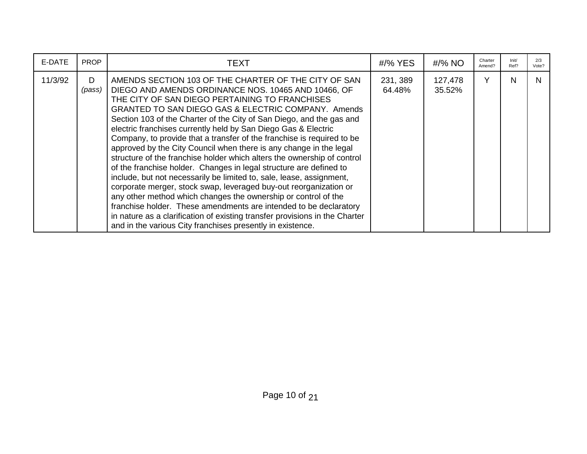| E-DATE  | <b>PROP</b> | TEXT                                                                                                                                                                                                                                                                                                                                                                                                                                                                                                                                                                                                                                                                                                                                                                                                                                                                                                                                                                                                                                                                                                        | #/% YES            | #/% NO            | Charter<br>Amend? | Init/<br>Ref? | 2/3<br>Vote? |
|---------|-------------|-------------------------------------------------------------------------------------------------------------------------------------------------------------------------------------------------------------------------------------------------------------------------------------------------------------------------------------------------------------------------------------------------------------------------------------------------------------------------------------------------------------------------------------------------------------------------------------------------------------------------------------------------------------------------------------------------------------------------------------------------------------------------------------------------------------------------------------------------------------------------------------------------------------------------------------------------------------------------------------------------------------------------------------------------------------------------------------------------------------|--------------------|-------------------|-------------------|---------------|--------------|
| 11/3/92 | D<br>(pass) | AMENDS SECTION 103 OF THE CHARTER OF THE CITY OF SAN<br>DIEGO AND AMENDS ORDINANCE NOS. 10465 AND 10466, OF<br>THE CITY OF SAN DIEGO PERTAINING TO FRANCHISES<br><b>GRANTED TO SAN DIEGO GAS &amp; ELECTRIC COMPANY. Amends</b><br>Section 103 of the Charter of the City of San Diego, and the gas and<br>electric franchises currently held by San Diego Gas & Electric<br>Company, to provide that a transfer of the franchise is required to be<br>approved by the City Council when there is any change in the legal<br>structure of the franchise holder which alters the ownership of control<br>of the franchise holder. Changes in legal structure are defined to<br>include, but not necessarily be limited to, sale, lease, assignment,<br>corporate merger, stock swap, leveraged buy-out reorganization or<br>any other method which changes the ownership or control of the<br>franchise holder. These amendments are intended to be declaratory<br>in nature as a clarification of existing transfer provisions in the Charter<br>and in the various City franchises presently in existence. | 231, 389<br>64.48% | 127,478<br>35.52% | $\checkmark$      | N             | N            |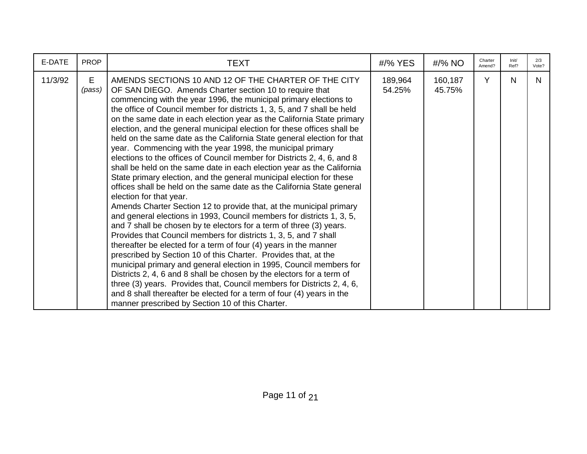| E-DATE  | <b>PROP</b> | <b>TEXT</b>                                                                                                                                                                                                                                                                                                                                                                                                                                                                                                                                                                                                                                                                                                                                                                                                                                                                                                                                                                                                                                                                                                                                                                                                                                                                                                                                                                                                                                                                                                                                                                                                                                                                              | #/% YES           | #/% NO            | Charter<br>Amend? | Init/<br>Ref? | 2/3<br>Vote? |
|---------|-------------|------------------------------------------------------------------------------------------------------------------------------------------------------------------------------------------------------------------------------------------------------------------------------------------------------------------------------------------------------------------------------------------------------------------------------------------------------------------------------------------------------------------------------------------------------------------------------------------------------------------------------------------------------------------------------------------------------------------------------------------------------------------------------------------------------------------------------------------------------------------------------------------------------------------------------------------------------------------------------------------------------------------------------------------------------------------------------------------------------------------------------------------------------------------------------------------------------------------------------------------------------------------------------------------------------------------------------------------------------------------------------------------------------------------------------------------------------------------------------------------------------------------------------------------------------------------------------------------------------------------------------------------------------------------------------------------|-------------------|-------------------|-------------------|---------------|--------------|
| 11/3/92 | E<br>(pass) | AMENDS SECTIONS 10 AND 12 OF THE CHARTER OF THE CITY<br>OF SAN DIEGO. Amends Charter section 10 to require that<br>commencing with the year 1996, the municipal primary elections to<br>the office of Council member for districts 1, 3, 5, and 7 shall be held<br>on the same date in each election year as the California State primary<br>election, and the general municipal election for these offices shall be<br>held on the same date as the California State general election for that<br>year. Commencing with the year 1998, the municipal primary<br>elections to the offices of Council member for Districts 2, 4, 6, and 8<br>shall be held on the same date in each election year as the California<br>State primary election, and the general municipal election for these<br>offices shall be held on the same date as the California State general<br>election for that year.<br>Amends Charter Section 12 to provide that, at the municipal primary<br>and general elections in 1993, Council members for districts 1, 3, 5,<br>and 7 shall be chosen by te electors for a term of three (3) years.<br>Provides that Council members for districts 1, 3, 5, and 7 shall<br>thereafter be elected for a term of four (4) years in the manner<br>prescribed by Section 10 of this Charter. Provides that, at the<br>municipal primary and general election in 1995, Council members for<br>Districts 2, 4, 6 and 8 shall be chosen by the electors for a term of<br>three (3) years. Provides that, Council members for Districts 2, 4, 6,<br>and 8 shall thereafter be elected for a term of four (4) years in the<br>manner prescribed by Section 10 of this Charter. | 189,964<br>54.25% | 160,187<br>45.75% | Y                 | N             | N.           |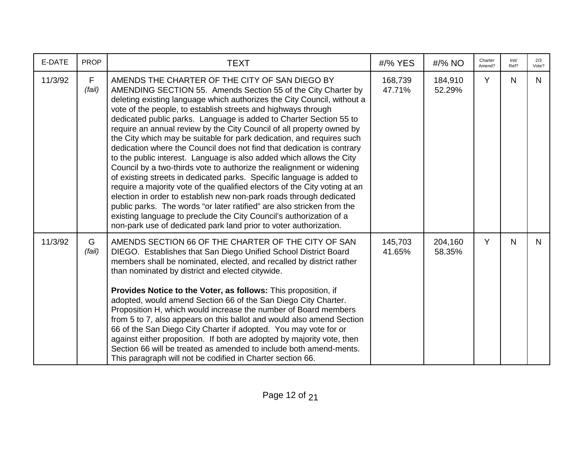| E-DATE  | <b>PROP</b> | TEXT                                                                                                                                                                                                                                                                                                                                                                                                                                                                                                                                                                                                                                                                                                                                                                                                                                                                                                                                                                                                                                                                                                                                                               | #/% YES           | #/% NO            | Charter<br>Amend? | Init/<br>Ref? | 2/3<br>Vote? |
|---------|-------------|--------------------------------------------------------------------------------------------------------------------------------------------------------------------------------------------------------------------------------------------------------------------------------------------------------------------------------------------------------------------------------------------------------------------------------------------------------------------------------------------------------------------------------------------------------------------------------------------------------------------------------------------------------------------------------------------------------------------------------------------------------------------------------------------------------------------------------------------------------------------------------------------------------------------------------------------------------------------------------------------------------------------------------------------------------------------------------------------------------------------------------------------------------------------|-------------------|-------------------|-------------------|---------------|--------------|
| 11/3/92 | F<br>(fail) | AMENDS THE CHARTER OF THE CITY OF SAN DIEGO BY<br>AMENDING SECTION 55. Amends Section 55 of the City Charter by<br>deleting existing language which authorizes the City Council, without a<br>vote of the people, to establish streets and highways through<br>dedicated public parks. Language is added to Charter Section 55 to<br>require an annual review by the City Council of all property owned by<br>the City which may be suitable for park dedication, and requires such<br>dedication where the Council does not find that dedication is contrary<br>to the public interest. Language is also added which allows the City<br>Council by a two-thirds vote to authorize the realignment or widening<br>of existing streets in dedicated parks. Specific language is added to<br>require a majority vote of the qualified electors of the City voting at an<br>election in order to establish new non-park roads through dedicated<br>public parks. The words "or later ratified" are also stricken from the<br>existing language to preclude the City Council's authorization of a<br>non-park use of dedicated park land prior to voter authorization. | 168,739<br>47.71% | 184,910<br>52.29% | Y                 | N.            | N.           |
| 11/3/92 | G<br>(fail) | AMENDS SECTION 66 OF THE CHARTER OF THE CITY OF SAN<br>DIEGO. Establishes that San Diego Unified School District Board<br>members shall be nominated, elected, and recalled by district rather<br>than nominated by district and elected citywide.<br>Provides Notice to the Voter, as follows: This proposition, if<br>adopted, would amend Section 66 of the San Diego City Charter.<br>Proposition H, which would increase the number of Board members<br>from 5 to 7, also appears on this ballot and would also amend Section<br>66 of the San Diego City Charter if adopted. You may vote for or<br>against either proposition. If both are adopted by majority vote, then<br>Section 66 will be treated as amended to include both amend-ments.<br>This paragraph will not be codified in Charter section 66.                                                                                                                                                                                                                                                                                                                                               | 145,703<br>41.65% | 204,160<br>58.35% | Y                 | N             | N.           |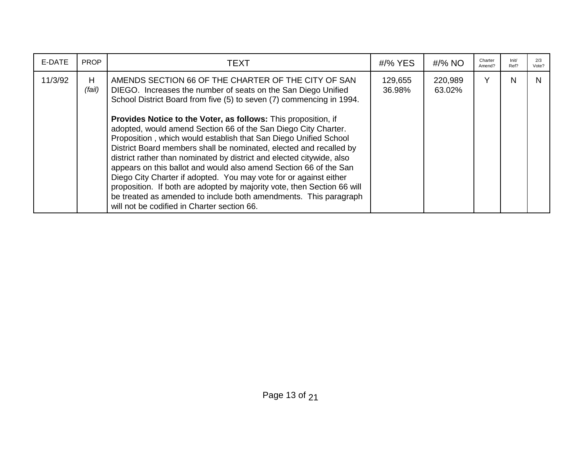| E-DATE  | <b>PROP</b> | <b>TEXT</b>                                                                                                                                                                                                                                                                                                                                                                                                                                                                                                                                                                                                                                                                                                                                                                                                                                                                                 | #/% YES           | #/% NO            | Charter<br>Amend? | Init/<br>Ref? | 2/3<br>Vote? |
|---------|-------------|---------------------------------------------------------------------------------------------------------------------------------------------------------------------------------------------------------------------------------------------------------------------------------------------------------------------------------------------------------------------------------------------------------------------------------------------------------------------------------------------------------------------------------------------------------------------------------------------------------------------------------------------------------------------------------------------------------------------------------------------------------------------------------------------------------------------------------------------------------------------------------------------|-------------------|-------------------|-------------------|---------------|--------------|
| 11/3/92 | H<br>(fail) | AMENDS SECTION 66 OF THE CHARTER OF THE CITY OF SAN<br>DIEGO. Increases the number of seats on the San Diego Unified<br>School District Board from five (5) to seven (7) commencing in 1994.<br>Provides Notice to the Voter, as follows: This proposition, if<br>adopted, would amend Section 66 of the San Diego City Charter.<br>Proposition, which would establish that San Diego Unified School<br>District Board members shall be nominated, elected and recalled by<br>district rather than nominated by district and elected citywide, also<br>appears on this ballot and would also amend Section 66 of the San<br>Diego City Charter if adopted. You may vote for or against either<br>proposition. If both are adopted by majority vote, then Section 66 will<br>be treated as amended to include both amendments. This paragraph<br>will not be codified in Charter section 66. | 129,655<br>36.98% | 220,989<br>63.02% | $\checkmark$      | N             |              |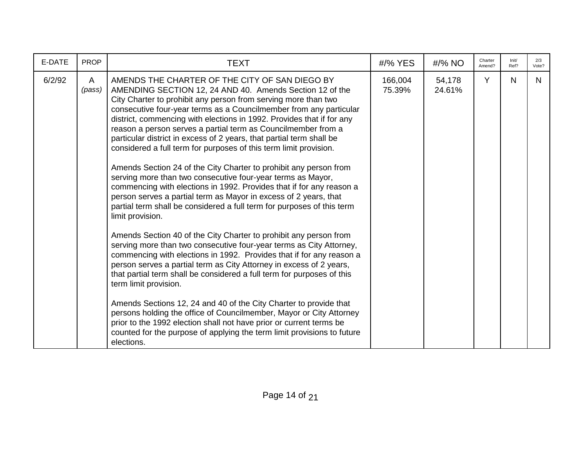| E-DATE | <b>PROP</b> | <b>TEXT</b>                                                                                                                                                                                                                                                                                                                                                                                                                                                                                                                                                                                                                                                                                                                                                                                                                                                                                                                                                                                                                                                                                                                                                                                                                                                                                                                                                                                                                                                                                                                                                                                                                       | #/% YES           | #/% NO           | Charter<br>Amend? | Init/<br>Ref? | 2/3<br>Vote? |
|--------|-------------|-----------------------------------------------------------------------------------------------------------------------------------------------------------------------------------------------------------------------------------------------------------------------------------------------------------------------------------------------------------------------------------------------------------------------------------------------------------------------------------------------------------------------------------------------------------------------------------------------------------------------------------------------------------------------------------------------------------------------------------------------------------------------------------------------------------------------------------------------------------------------------------------------------------------------------------------------------------------------------------------------------------------------------------------------------------------------------------------------------------------------------------------------------------------------------------------------------------------------------------------------------------------------------------------------------------------------------------------------------------------------------------------------------------------------------------------------------------------------------------------------------------------------------------------------------------------------------------------------------------------------------------|-------------------|------------------|-------------------|---------------|--------------|
| 6/2/92 | A<br>(pass) | AMENDS THE CHARTER OF THE CITY OF SAN DIEGO BY<br>AMENDING SECTION 12, 24 AND 40. Amends Section 12 of the<br>City Charter to prohibit any person from serving more than two<br>consecutive four-year terms as a Councilmember from any particular<br>district, commencing with elections in 1992. Provides that if for any<br>reason a person serves a partial term as Councilmember from a<br>particular district in excess of 2 years, that partial term shall be<br>considered a full term for purposes of this term limit provision.<br>Amends Section 24 of the City Charter to prohibit any person from<br>serving more than two consecutive four-year terms as Mayor,<br>commencing with elections in 1992. Provides that if for any reason a<br>person serves a partial term as Mayor in excess of 2 years, that<br>partial term shall be considered a full term for purposes of this term<br>limit provision.<br>Amends Section 40 of the City Charter to prohibit any person from<br>serving more than two consecutive four-year terms as City Attorney,<br>commencing with elections in 1992. Provides that if for any reason a<br>person serves a partial term as City Attorney in excess of 2 years,<br>that partial term shall be considered a full term for purposes of this<br>term limit provision.<br>Amends Sections 12, 24 and 40 of the City Charter to provide that<br>persons holding the office of Councilmember, Mayor or City Attorney<br>prior to the 1992 election shall not have prior or current terms be<br>counted for the purpose of applying the term limit provisions to future<br>elections. | 166,004<br>75.39% | 54,178<br>24.61% | Y                 | $\mathsf{N}$  | N.           |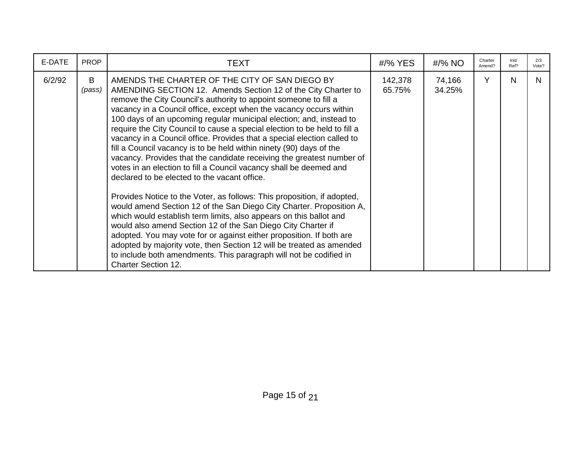| E-DATE | <b>PROP</b> | TEXT                                                                                                                                                                                                                                                                                                                                                                                                                                                                                                                                                                                                                                                                                                                                                                                                                                                                                                                                                                                                                                                                                                                                                                                                                                                                                                        | $\frac{\textit{H}}{\textit{96}}$ YES | #/% NO           | Charter<br>Amend? | Init/<br>Ref? | 2/3<br>Vote? |
|--------|-------------|-------------------------------------------------------------------------------------------------------------------------------------------------------------------------------------------------------------------------------------------------------------------------------------------------------------------------------------------------------------------------------------------------------------------------------------------------------------------------------------------------------------------------------------------------------------------------------------------------------------------------------------------------------------------------------------------------------------------------------------------------------------------------------------------------------------------------------------------------------------------------------------------------------------------------------------------------------------------------------------------------------------------------------------------------------------------------------------------------------------------------------------------------------------------------------------------------------------------------------------------------------------------------------------------------------------|--------------------------------------|------------------|-------------------|---------------|--------------|
| 6/2/92 | B<br>(pass) | AMENDS THE CHARTER OF THE CITY OF SAN DIEGO BY<br>AMENDING SECTION 12. Amends Section 12 of the City Charter to<br>remove the City Council's authority to appoint someone to fill a<br>vacancy in a Council office, except when the vacancy occurs within<br>100 days of an upcoming regular municipal election; and, instead to<br>require the City Council to cause a special election to be held to fill a<br>vacancy in a Council office. Provides that a special election called to<br>fill a Council vacancy is to be held within ninety (90) days of the<br>vacancy. Provides that the candidate receiving the greatest number of<br>votes in an election to fill a Council vacancy shall be deemed and<br>declared to be elected to the vacant office.<br>Provides Notice to the Voter, as follows: This proposition, if adopted,<br>would amend Section 12 of the San Diego City Charter. Proposition A,<br>which would establish term limits, also appears on this ballot and<br>would also amend Section 12 of the San Diego City Charter if<br>adopted. You may vote for or against either proposition. If both are<br>adopted by majority vote, then Section 12 will be treated as amended<br>to include both amendments. This paragraph will not be codified in<br><b>Charter Section 12.</b> | 142,378<br>65.75%                    | 74,166<br>34.25% | Y                 | N             | N.           |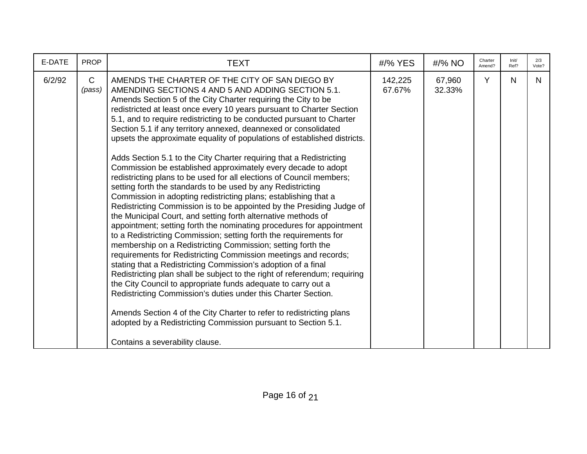| E-DATE | <b>PROP</b>            | <b>TEXT</b>                                                                                                                                                                                                                                                                                                                                                                                                                                                                                                                                                                                                                                                                                                                                                                                                                                                                                                                                                                                                                                                                                                                                                                                                                                                                                                                                                                                                                                                                                                                                                                                                                                                                                                   | #/% YES           | $\frac{\text{H}}{8}$ NO | Charter<br>Amend? | Init/<br>Ref? | 2/3<br>Vote? |
|--------|------------------------|---------------------------------------------------------------------------------------------------------------------------------------------------------------------------------------------------------------------------------------------------------------------------------------------------------------------------------------------------------------------------------------------------------------------------------------------------------------------------------------------------------------------------------------------------------------------------------------------------------------------------------------------------------------------------------------------------------------------------------------------------------------------------------------------------------------------------------------------------------------------------------------------------------------------------------------------------------------------------------------------------------------------------------------------------------------------------------------------------------------------------------------------------------------------------------------------------------------------------------------------------------------------------------------------------------------------------------------------------------------------------------------------------------------------------------------------------------------------------------------------------------------------------------------------------------------------------------------------------------------------------------------------------------------------------------------------------------------|-------------------|-------------------------|-------------------|---------------|--------------|
| 6/2/92 | $\mathsf{C}$<br>(pass) | AMENDS THE CHARTER OF THE CITY OF SAN DIEGO BY<br>AMENDING SECTIONS 4 AND 5 AND ADDING SECTION 5.1.<br>Amends Section 5 of the City Charter requiring the City to be<br>redistricted at least once every 10 years pursuant to Charter Section<br>5.1, and to require redistricting to be conducted pursuant to Charter<br>Section 5.1 if any territory annexed, deannexed or consolidated<br>upsets the approximate equality of populations of established districts.<br>Adds Section 5.1 to the City Charter requiring that a Redistricting<br>Commission be established approximately every decade to adopt<br>redistricting plans to be used for all elections of Council members;<br>setting forth the standards to be used by any Redistricting<br>Commission in adopting redistricting plans; establishing that a<br>Redistricting Commission is to be appointed by the Presiding Judge of<br>the Municipal Court, and setting forth alternative methods of<br>appointment; setting forth the nominating procedures for appointment<br>to a Redistricting Commission; setting forth the requirements for<br>membership on a Redistricting Commission; setting forth the<br>requirements for Redistricting Commission meetings and records;<br>stating that a Redistricting Commission's adoption of a final<br>Redistricting plan shall be subject to the right of referendum; requiring<br>the City Council to appropriate funds adequate to carry out a<br>Redistricting Commission's duties under this Charter Section.<br>Amends Section 4 of the City Charter to refer to redistricting plans<br>adopted by a Redistricting Commission pursuant to Section 5.1.<br>Contains a severability clause. | 142,225<br>67.67% | 67,960<br>32.33%        | Y                 | N             | N.           |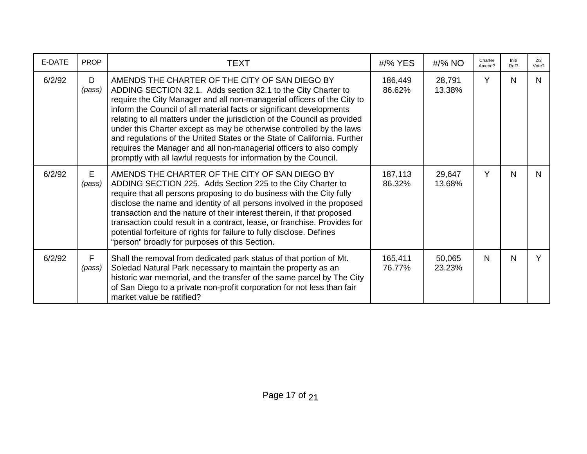| E-DATE | <b>PROP</b>  | <b>TEXT</b>                                                                                                                                                                                                                                                                                                                                                                                                                                                                                                                                                                                                                                     | #/% YES           | #/% NO           | Charter<br>Amend? | Init/<br>Ref? | 2/3<br>Vote? |
|--------|--------------|-------------------------------------------------------------------------------------------------------------------------------------------------------------------------------------------------------------------------------------------------------------------------------------------------------------------------------------------------------------------------------------------------------------------------------------------------------------------------------------------------------------------------------------------------------------------------------------------------------------------------------------------------|-------------------|------------------|-------------------|---------------|--------------|
| 6/2/92 | D<br>(pass)  | AMENDS THE CHARTER OF THE CITY OF SAN DIEGO BY<br>ADDING SECTION 32.1. Adds section 32.1 to the City Charter to<br>require the City Manager and all non-managerial officers of the City to<br>inform the Council of all material facts or significant developments<br>relating to all matters under the jurisdiction of the Council as provided<br>under this Charter except as may be otherwise controlled by the laws<br>and regulations of the United States or the State of California. Further<br>requires the Manager and all non-managerial officers to also comply<br>promptly with all lawful requests for information by the Council. | 186,449<br>86.62% | 28,791<br>13.38% | Y                 | N             | N.           |
| 6/2/92 | E.<br>(pass) | AMENDS THE CHARTER OF THE CITY OF SAN DIEGO BY<br>ADDING SECTION 225. Adds Section 225 to the City Charter to<br>require that all persons proposing to do business with the City fully<br>disclose the name and identity of all persons involved in the proposed<br>transaction and the nature of their interest therein, if that proposed<br>transaction could result in a contract, lease, or franchise. Provides for<br>potential forfeiture of rights for failure to fully disclose. Defines<br>"person" broadly for purposes of this Section.                                                                                              | 187,113<br>86.32% | 29,647<br>13.68% | Y                 | N             | N.           |
| 6/2/92 | F<br>(pass)  | Shall the removal from dedicated park status of that portion of Mt.<br>Soledad Natural Park necessary to maintain the property as an<br>historic war memorial, and the transfer of the same parcel by The City<br>of San Diego to a private non-profit corporation for not less than fair<br>market value be ratified?                                                                                                                                                                                                                                                                                                                          | 165,411<br>76.77% | 50,065<br>23.23% | N                 | N             |              |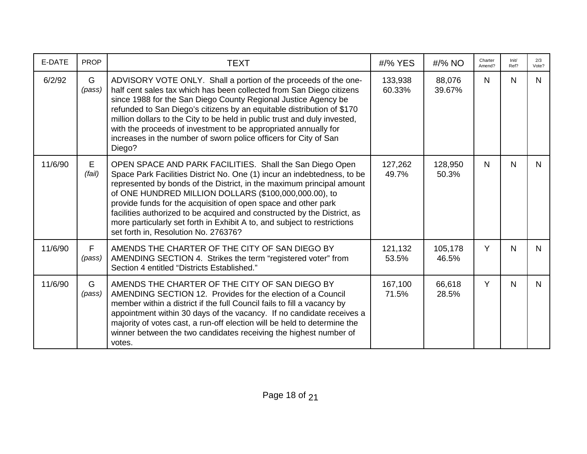| E-DATE  | <b>PROP</b> | <b>TEXT</b>                                                                                                                                                                                                                                                                                                                                                                                                                                                                                                                             | #/% YES           | $\frac{\text{H}}{8}$ NO | Charter<br>Amend? | Init/<br>Ref? | 2/3<br>Vote? |
|---------|-------------|-----------------------------------------------------------------------------------------------------------------------------------------------------------------------------------------------------------------------------------------------------------------------------------------------------------------------------------------------------------------------------------------------------------------------------------------------------------------------------------------------------------------------------------------|-------------------|-------------------------|-------------------|---------------|--------------|
| 6/2/92  | G<br>(pass) | ADVISORY VOTE ONLY. Shall a portion of the proceeds of the one-<br>half cent sales tax which has been collected from San Diego citizens<br>since 1988 for the San Diego County Regional Justice Agency be<br>refunded to San Diego's citizens by an equitable distribution of \$170<br>million dollars to the City to be held in public trust and duly invested,<br>with the proceeds of investment to be appropriated annually for<br>increases in the number of sworn police officers for City of San<br>Diego?                       | 133,938<br>60.33% | 88,076<br>39.67%        | $\mathsf{N}$      | N             | N.           |
| 11/6/90 | E<br>(fail) | OPEN SPACE AND PARK FACILITIES. Shall the San Diego Open<br>Space Park Facilities District No. One (1) incur an indebtedness, to be<br>represented by bonds of the District, in the maximum principal amount<br>of ONE HUNDRED MILLION DOLLARS (\$100,000,000.00), to<br>provide funds for the acquisition of open space and other park<br>facilities authorized to be acquired and constructed by the District, as<br>more particularly set forth in Exhibit A to, and subject to restrictions<br>set forth in, Resolution No. 276376? | 127,262<br>49.7%  | 128,950<br>50.3%        | $\mathsf{N}$      | N             | N.           |
| 11/6/90 | F<br>(pass) | AMENDS THE CHARTER OF THE CITY OF SAN DIEGO BY<br>AMENDING SECTION 4. Strikes the term "registered voter" from<br>Section 4 entitled "Districts Established."                                                                                                                                                                                                                                                                                                                                                                           | 121,132<br>53.5%  | 105,178<br>46.5%        | Y                 | N             | N.           |
| 11/6/90 | G<br>(pass) | AMENDS THE CHARTER OF THE CITY OF SAN DIEGO BY<br>AMENDING SECTION 12. Provides for the election of a Council<br>member within a district if the full Council fails to fill a vacancy by<br>appointment within 30 days of the vacancy. If no candidate receives a<br>majority of votes cast, a run-off election will be held to determine the<br>winner between the two candidates receiving the highest number of<br>votes.                                                                                                            | 167,100<br>71.5%  | 66,618<br>28.5%         | Y                 | N             | N.           |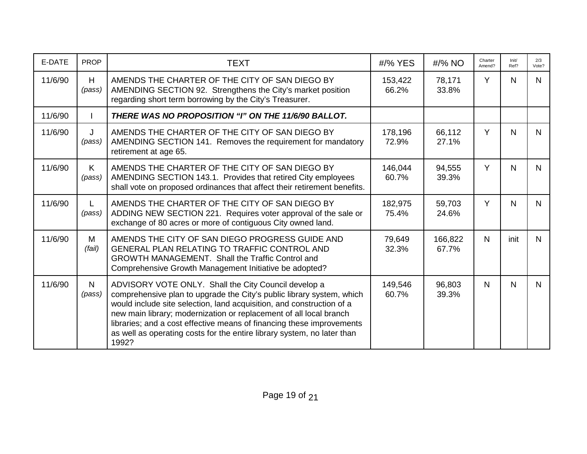| E-DATE  | <b>PROP</b>            | <b>TEXT</b>                                                                                                                                                                                                                                                                                                                                                                                                                               | #/% YES          | #/% NO           | Charter<br>Amend? | Init/<br>Ref? | 2/3<br>Vote? |
|---------|------------------------|-------------------------------------------------------------------------------------------------------------------------------------------------------------------------------------------------------------------------------------------------------------------------------------------------------------------------------------------------------------------------------------------------------------------------------------------|------------------|------------------|-------------------|---------------|--------------|
| 11/6/90 | H<br>(pass)            | AMENDS THE CHARTER OF THE CITY OF SAN DIEGO BY<br>AMENDING SECTION 92. Strengthens the City's market position<br>regarding short term borrowing by the City's Treasurer.                                                                                                                                                                                                                                                                  | 153,422<br>66.2% | 78,171<br>33.8%  | Y                 | N             | N            |
| 11/6/90 |                        | THERE WAS NO PROPOSITION "I" ON THE 11/6/90 BALLOT.                                                                                                                                                                                                                                                                                                                                                                                       |                  |                  |                   |               |              |
| 11/6/90 | J<br>(pass)            | AMENDS THE CHARTER OF THE CITY OF SAN DIEGO BY<br>AMENDING SECTION 141. Removes the requirement for mandatory<br>retirement at age 65.                                                                                                                                                                                                                                                                                                    | 178,196<br>72.9% | 66,112<br>27.1%  | Y                 | $\mathsf{N}$  | N            |
| 11/6/90 | K.<br>(pass)           | AMENDS THE CHARTER OF THE CITY OF SAN DIEGO BY<br>AMENDING SECTION 143.1. Provides that retired City employees<br>shall vote on proposed ordinances that affect their retirement benefits.                                                                                                                                                                                                                                                | 146,044<br>60.7% | 94,555<br>39.3%  | Y                 | N             | $\mathsf{N}$ |
| 11/6/90 | (pass)                 | AMENDS THE CHARTER OF THE CITY OF SAN DIEGO BY<br>ADDING NEW SECTION 221. Requires voter approval of the sale or<br>exchange of 80 acres or more of contiguous City owned land.                                                                                                                                                                                                                                                           | 182,975<br>75.4% | 59,703<br>24.6%  | Y                 | $\mathsf{N}$  | N.           |
| 11/6/90 | M<br>(fail)            | AMENDS THE CITY OF SAN DIEGO PROGRESS GUIDE AND<br><b>GENERAL PLAN RELATING TO TRAFFIC CONTROL AND</b><br><b>GROWTH MANAGEMENT. Shall the Traffic Control and</b><br>Comprehensive Growth Management Initiative be adopted?                                                                                                                                                                                                               | 79,649<br>32.3%  | 166,822<br>67.7% | $\mathsf{N}$      | init          | N.           |
| 11/6/90 | $\mathsf{N}$<br>(pass) | ADVISORY VOTE ONLY. Shall the City Council develop a<br>comprehensive plan to upgrade the City's public library system, which<br>would include site selection, land acquisition, and construction of a<br>new main library; modernization or replacement of all local branch<br>libraries; and a cost effective means of financing these improvements<br>as well as operating costs for the entire library system, no later than<br>1992? | 149,546<br>60.7% | 96,803<br>39.3%  | $\mathsf{N}$      | N             | N            |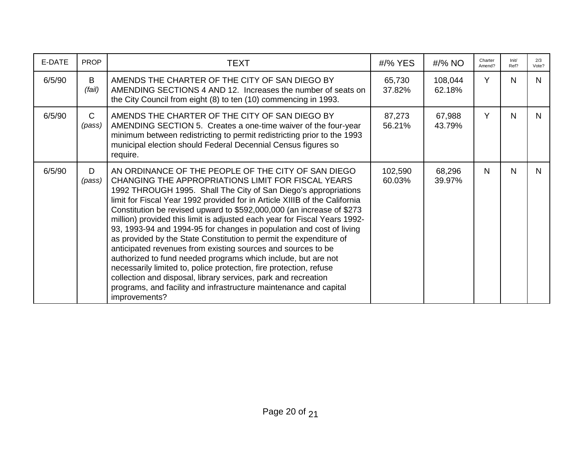| E-DATE | <b>PROP</b>            | <b>TEXT</b>                                                                                                                                                                                                                                                                                                                                                                                                                                                                                                                                                                                                                                                                                                                                                                                                                                                                                                                   | #/% YES           | #/% NO            | Charter<br>Amend? | Init/<br>Ref? | 2/3<br>Vote? |
|--------|------------------------|-------------------------------------------------------------------------------------------------------------------------------------------------------------------------------------------------------------------------------------------------------------------------------------------------------------------------------------------------------------------------------------------------------------------------------------------------------------------------------------------------------------------------------------------------------------------------------------------------------------------------------------------------------------------------------------------------------------------------------------------------------------------------------------------------------------------------------------------------------------------------------------------------------------------------------|-------------------|-------------------|-------------------|---------------|--------------|
| 6/5/90 | B<br>(fail)            | AMENDS THE CHARTER OF THE CITY OF SAN DIEGO BY<br>AMENDING SECTIONS 4 AND 12. Increases the number of seats on<br>the City Council from eight (8) to ten (10) commencing in 1993.                                                                                                                                                                                                                                                                                                                                                                                                                                                                                                                                                                                                                                                                                                                                             | 65,730<br>37.82%  | 108,044<br>62.18% | Y                 | N             | N            |
| 6/5/90 | $\mathsf{C}$<br>(pass) | AMENDS THE CHARTER OF THE CITY OF SAN DIEGO BY<br>AMENDING SECTION 5. Creates a one-time waiver of the four-year<br>minimum between redistricting to permit redistricting prior to the 1993<br>municipal election should Federal Decennial Census figures so<br>require.                                                                                                                                                                                                                                                                                                                                                                                                                                                                                                                                                                                                                                                      | 87,273<br>56.21%  | 67,988<br>43.79%  | Y                 | N             | N            |
| 6/5/90 | D.<br>(pass)           | AN ORDINANCE OF THE PEOPLE OF THE CITY OF SAN DIEGO<br>CHANGING THE APPROPRIATIONS LIMIT FOR FISCAL YEARS<br>1992 THROUGH 1995. Shall The City of San Diego's appropriations<br>limit for Fiscal Year 1992 provided for in Article XIIIB of the California<br>Constitution be revised upward to \$592,000,000 (an increase of \$273<br>million) provided this limit is adjusted each year for Fiscal Years 1992-<br>93, 1993-94 and 1994-95 for changes in population and cost of living<br>as provided by the State Constitution to permit the expenditure of<br>anticipated revenues from existing sources and sources to be<br>authorized to fund needed programs which include, but are not<br>necessarily limited to, police protection, fire protection, refuse<br>collection and disposal, library services, park and recreation<br>programs, and facility and infrastructure maintenance and capital<br>improvements? | 102,590<br>60.03% | 68,296<br>39.97%  | N                 | N             | N.           |